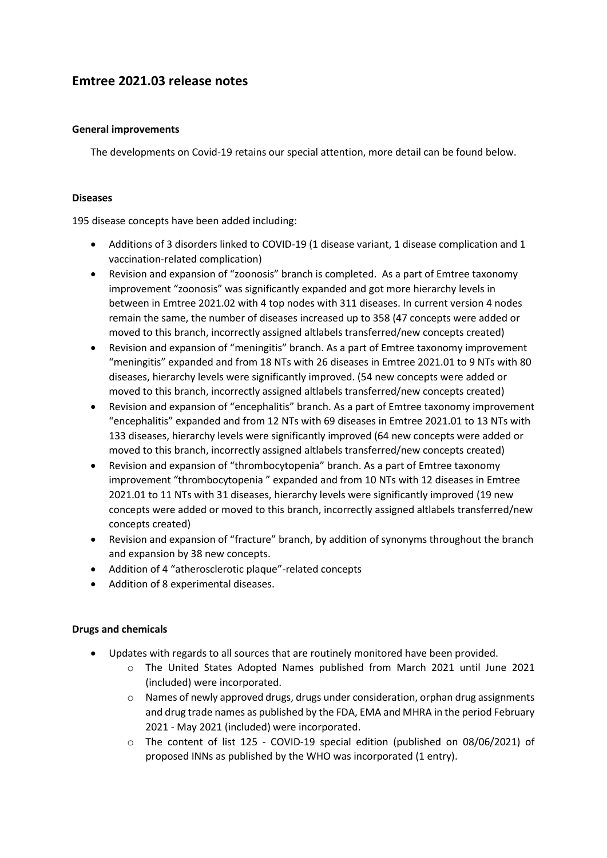# **Emtree 2021.03 release notes**

#### **General improvements**

The developments on Covid-19 retains our special attention, more detail can be found below.

#### **Diseases**

195 disease concepts have been added including:

- Additions of 3 disorders linked to COVID-19 (1 disease variant, 1 disease complication and 1 vaccination-related complication)
- Revision and expansion of "zoonosis" branch is completed. As a part of Emtree taxonomy improvement "zoonosis" was significantly expanded and got more hierarchy levels in between in Emtree 2021.02 with 4 top nodes with 311 diseases. In current version 4 nodes remain the same, the number of diseases increased up to 358 (47 concepts were added or moved to this branch, incorrectly assigned altlabels transferred/new concepts created)
- Revision and expansion of "meningitis" branch. As a part of Emtree taxonomy improvement "meningitis" expanded and from 18 NTs with 26 diseases in Emtree 2021.01 to 9 NTs with 80 diseases, hierarchy levels were significantly improved. (54 new concepts were added or moved to this branch, incorrectly assigned altlabels transferred/new concepts created)
- Revision and expansion of "encephalitis" branch. As a part of Emtree taxonomy improvement "encephalitis" expanded and from 12 NTs with 69 diseases in Emtree 2021.01 to 13 NTs with 133 diseases, hierarchy levels were significantly improved (64 new concepts were added or moved to this branch, incorrectly assigned altlabels transferred/new concepts created)
- Revision and expansion of "thrombocytopenia" branch. As a part of Emtree taxonomy improvement "thrombocytopenia " expanded and from 10 NTs with 12 diseases in Emtree 2021.01 to 11 NTs with 31 diseases, hierarchy levels were significantly improved (19 new concepts were added or moved to this branch, incorrectly assigned altlabels transferred/new concepts created)
- Revision and expansion of "fracture" branch, by addition of synonyms throughout the branch and expansion by 38 new concepts.
- Addition of 4 "atherosclerotic plaque"-related concepts
- Addition of 8 experimental diseases.

## **Drugs and chemicals**

- Updates with regards to all sources that are routinely monitored have been provided.
	- o The United States Adopted Names published from March 2021 until June 2021 (included) were incorporated.
	- $\circ$  Names of newly approved drugs, drugs under consideration, orphan drug assignments and drug trade names as published by the FDA, EMA and MHRA in the period February 2021 - May 2021 (included) were incorporated.
	- o The content of list 125 COVID-19 special edition (published on 08/06/2021) of proposed INNs as published by the WHO was incorporated (1 entry).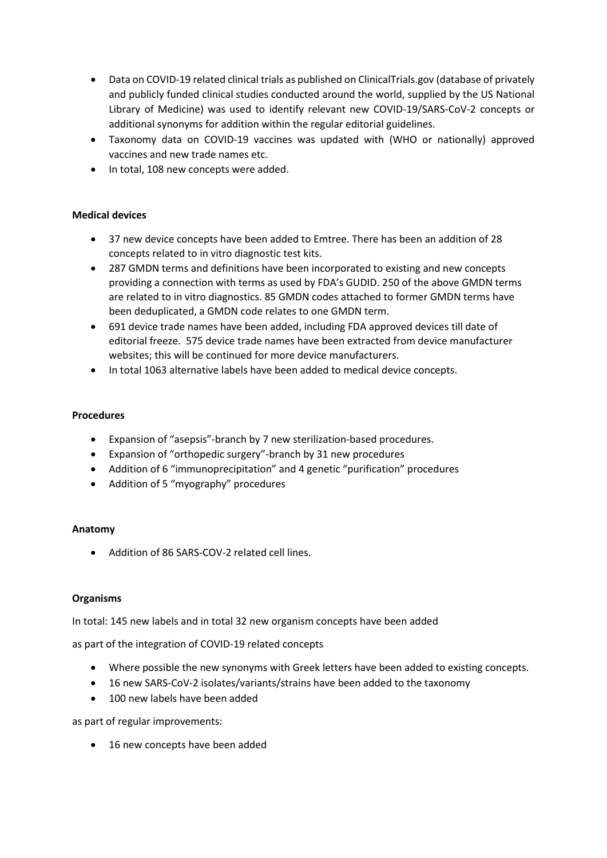- Data on COVID-19 related clinical trials as published on ClinicalTrials.gov (database of privately and publicly funded clinical studies conducted around the world, supplied by the US National Library of Medicine) was used to identify relevant new COVID-19/SARS-CoV-2 concepts or additional synonyms for addition within the regular editorial guidelines.
- Taxonomy data on COVID-19 vaccines was updated with (WHO or nationally) approved vaccines and new trade names etc.
- In total, 108 new concepts were added.

## **Medical devices**

- 37 new device concepts have been added to Emtree. There has been an addition of 28 concepts related to in vitro diagnostic test kits.
- 287 GMDN terms and definitions have been incorporated to existing and new concepts providing a connection with terms as used by FDA's GUDID. 250 of the above GMDN terms are related to in vitro diagnostics. 85 GMDN codes attached to former GMDN terms have been deduplicated, a GMDN code relates to one GMDN term.
- 691 device trade names have been added, including FDA approved devices till date of editorial freeze. 575 device trade names have been extracted from device manufacturer websites; this will be continued for more device manufacturers.
- In total 1063 alternative labels have been added to medical device concepts.

#### **Procedures**

- Expansion of "asepsis"-branch by 7 new sterilization-based procedures.
- Expansion of "orthopedic surgery"-branch by 31 new procedures
- Addition of 6 "immunoprecipitation" and 4 genetic "purification" procedures
- Addition of 5 "myography" procedures

## **Anatomy**

• Addition of 86 SARS-COV-2 related cell lines.

#### **Organisms**

In total: 145 new labels and in total 32 new organism concepts have been added

as part of the integration of COVID-19 related concepts

- Where possible the new synonyms with Greek letters have been added to existing concepts.
- 16 new SARS-CoV-2 isolates/variants/strains have been added to the taxonomy
- 100 new labels have been added

as part of regular improvements:

• 16 new concepts have been added